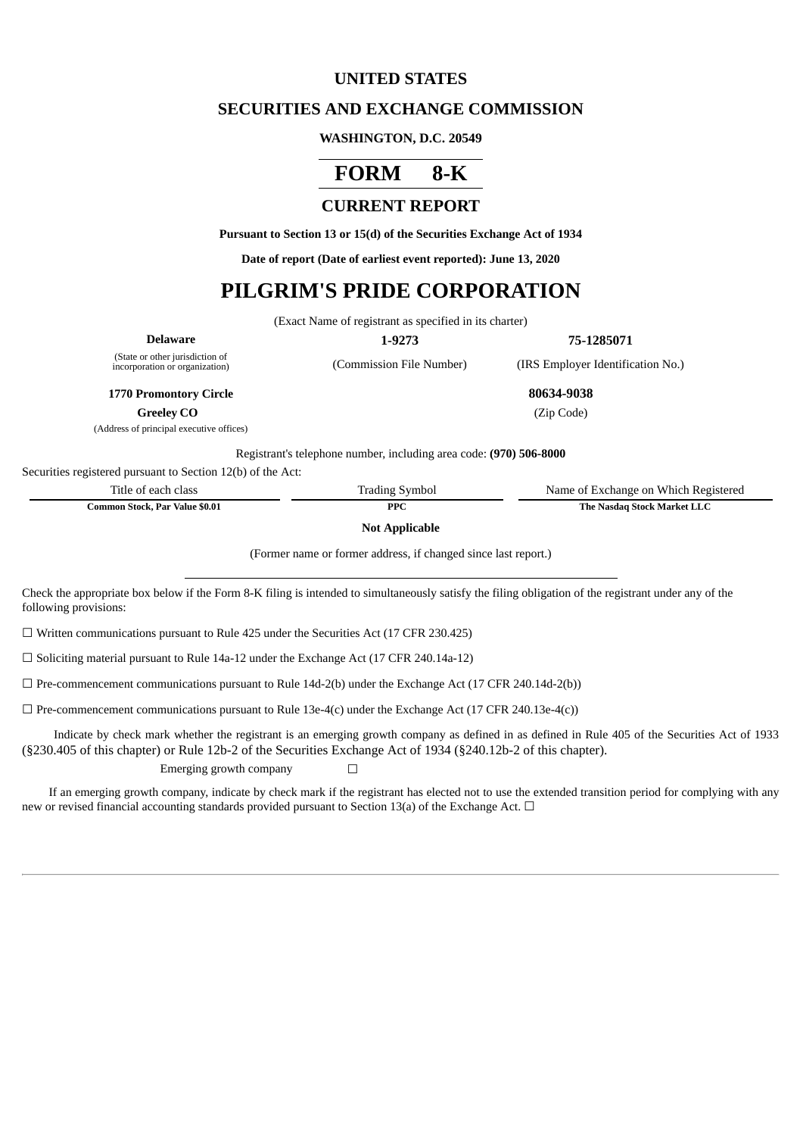## **UNITED STATES**

## **SECURITIES AND EXCHANGE COMMISSION**

#### **WASHINGTON, D.C. 20549**

# **FORM 8-K**

# **CURRENT REPORT**

**Pursuant to Section 13 or 15(d) of the Securities Exchange Act of 1934**

**Date of report (Date of earliest event reported): June 13, 2020**

# **PILGRIM'S PRIDE CORPORATION**

(Exact Name of registrant as specified in its charter)

| Delaware                                                          | 1-9273                   | 75-1285071              |
|-------------------------------------------------------------------|--------------------------|-------------------------|
| (State or other jurisdiction of<br>incorporation or organization) | (Commission File Number) | (IRS Employer Identific |

(Commission File Number) (IRS Employer Identification No.)

**1770 Promontory Circle 80634-9038**

**Greeley CO** (Zip Code)

(Address of principal executive offices)

Registrant's telephone number, including area code: **(970) 506-8000**

Securities registered pursuant to Section 12(b) of the Act:

| Title of each class            | <b>Trading Symbol</b> | Name of Exchange on Which Registered |
|--------------------------------|-----------------------|--------------------------------------|
| Common Stock, Par Value \$0.01 | <b>PPC</b>            | The Nasdag Stock Market LLC          |

**Not Applicable**

(Former name or former address, if changed since last report.)

Check the appropriate box below if the Form 8-K filing is intended to simultaneously satisfy the filing obligation of the registrant under any of the following provisions:

 $\Box$  Written communications pursuant to Rule 425 under the Securities Act (17 CFR 230.425)

 $\Box$  Soliciting material pursuant to Rule 14a-12 under the Exchange Act (17 CFR 240.14a-12)

 $\Box$  Pre-commencement communications pursuant to Rule 14d-2(b) under the Exchange Act (17 CFR 240.14d-2(b))

 $\Box$  Pre-commencement communications pursuant to Rule 13e-4(c) under the Exchange Act (17 CFR 240.13e-4(c))

Indicate by check mark whether the registrant is an emerging growth company as defined in as defined in Rule 405 of the Securities Act of 1933 (§230.405 of this chapter) or Rule 12b-2 of the Securities Exchange Act of 1934 (§240.12b-2 of this chapter).

Emerging growth company  $\Box$ 

If an emerging growth company, indicate by check mark if the registrant has elected not to use the extended transition period for complying with any new or revised financial accounting standards provided pursuant to Section 13(a) of the Exchange Act.  $\Box$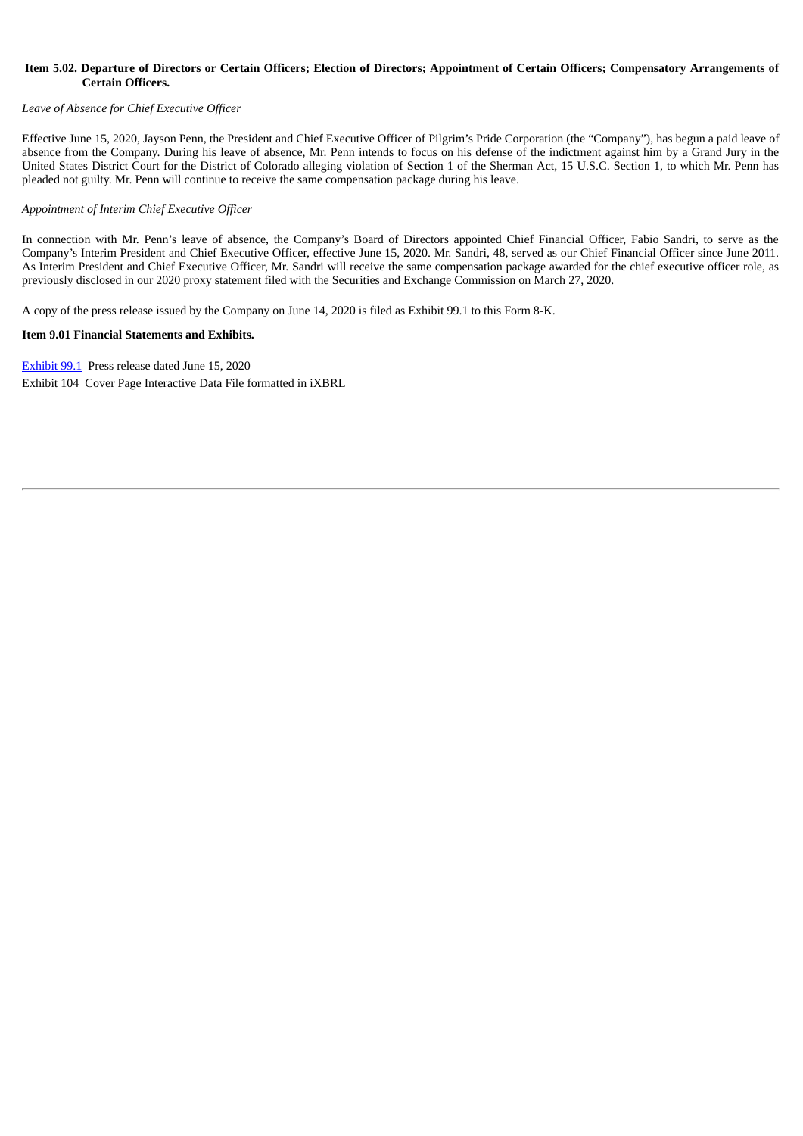#### Item 5.02. Departure of Directors or Certain Officers; Election of Directors; Appointment of Certain Officers; Compensatory Arrangements of **Certain Officers.**

#### *Leave of Absence for Chief Executive Officer*

Effective June 15, 2020, Jayson Penn, the President and Chief Executive Officer of Pilgrim's Pride Corporation (the "Company"), has begun a paid leave of absence from the Company. During his leave of absence, Mr. Penn intends to focus on his defense of the indictment against him by a Grand Jury in the United States District Court for the District of Colorado alleging violation of Section 1 of the Sherman Act, 15 U.S.C. Section 1, to which Mr. Penn has pleaded not guilty. Mr. Penn will continue to receive the same compensation package during his leave.

#### *Appointment of Interim Chief Executive Officer*

In connection with Mr. Penn's leave of absence, the Company's Board of Directors appointed Chief Financial Officer, Fabio Sandri, to serve as the Company's Interim President and Chief Executive Officer, effective June 15, 2020. Mr. Sandri, 48, served as our Chief Financial Officer since June 2011. As Interim President and Chief Executive Officer, Mr. Sandri will receive the same compensation package awarded for the chief executive officer role, as previously disclosed in our 2020 proxy statement filed with the Securities and Exchange Commission on March 27, 2020.

A copy of the press release issued by the Company on June 14, 2020 is filed as Exhibit 99.1 to this Form 8-K.

## **Item 9.01 Financial Statements and Exhibits.**

[Exhibit](#page-3-0) 9[9.1](#page-3-0) Press release dated June 15, 2020 Exhibit 104 Cover Page Interactive Data File formatted in iXBRL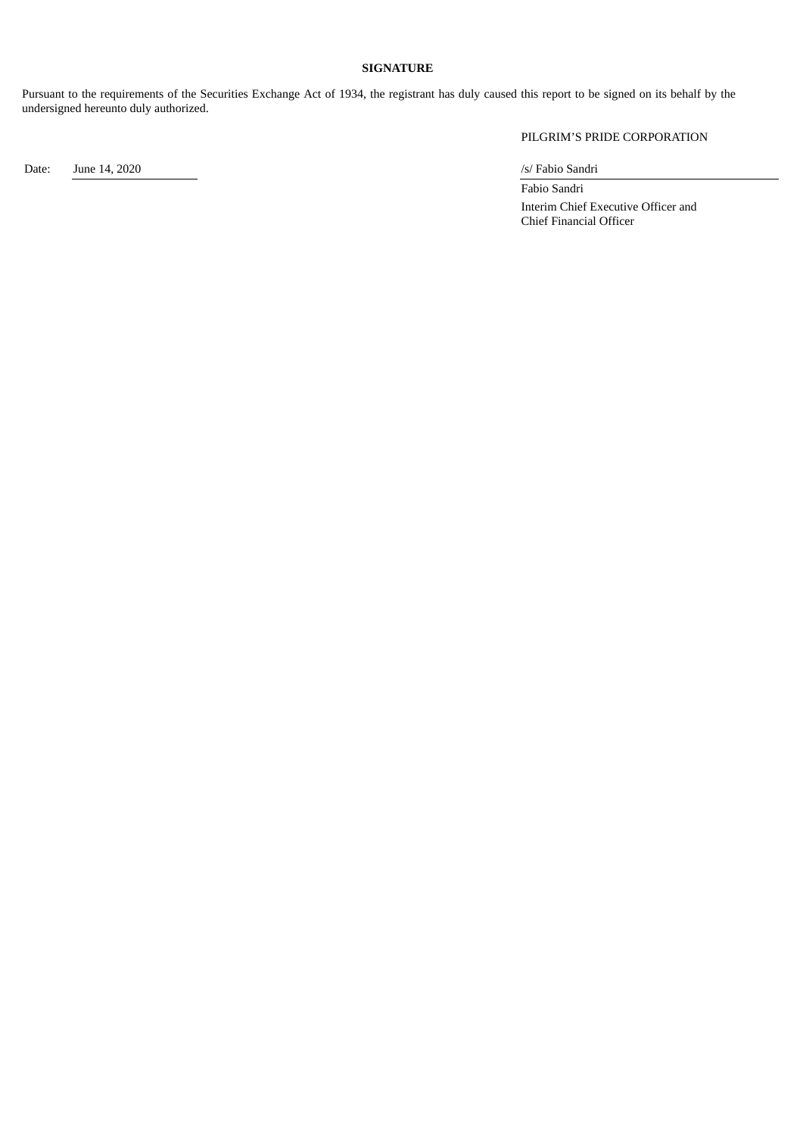### **SIGNATURE**

Pursuant to the requirements of the Securities Exchange Act of 1934, the registrant has duly caused this report to be signed on its behalf by the undersigned hereunto duly authorized.

PILGRIM'S PRIDE CORPORATION

Date: June 14, 2020 /s/ Fabio Sandri

Fabio Sandri Interim Chief Executive Officer and Chief Financial Officer